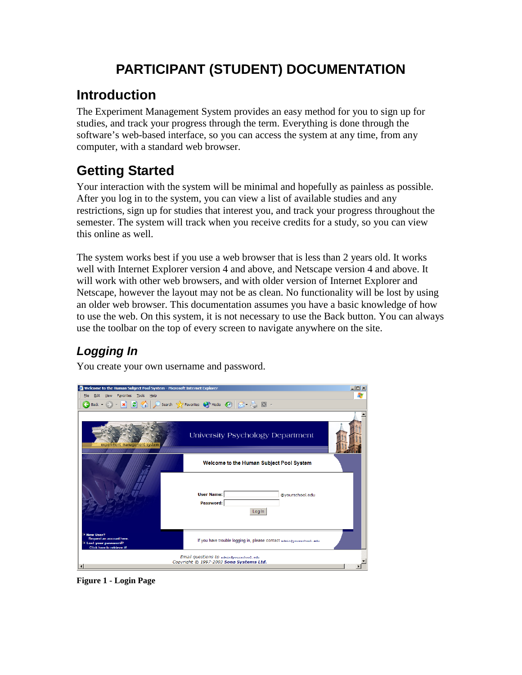# **PARTICIPANT (STUDENT) DOCUMENTATION**

## **Introduction**

The Experiment Management System provides an easy method for you to sign up for studies, and track your progress through the term. Everything is done through the software's web-based interface, so you can access the system at any time, from any computer, with a standard web browser.

# **Getting Started**

Your interaction with the system will be minimal and hopefully as painless as possible. After you log in to the system, you can view a list of available studies and any restrictions, sign up for studies that interest you, and track your progress throughout the semester. The system will track when you receive credits for a study, so you can view this online as well.

The system works best if you use a web browser that is less than 2 years old. It works well with Internet Explorer version 4 and above, and Netscape version 4 and above. It will work with other web browsers, and with older version of Internet Explorer and Netscape, however the layout may not be as clean. No functionality will be lost by using an older web browser. This documentation assumes you have a basic knowledge of how to use the web. On this system, it is not necessary to use the Back button. You can always use the toolbar on the top of every screen to navigate anywhere on the site.

### *Logging In*

You create your own username and password.

| Welcome to the Human Subject Pool System - Microsoft Internet Explorer                                |                                                                                    | $\Box$ D $ x $ |  |  |  |  |
|-------------------------------------------------------------------------------------------------------|------------------------------------------------------------------------------------|----------------|--|--|--|--|
| Favorites Tools Help<br>File<br>Edit<br>View                                                          |                                                                                    | Æ              |  |  |  |  |
| $\mathbf{E}$ (a)<br> x<br>←<br>Back -                                                                 | Search Travorites M Media B R & M -                                                |                |  |  |  |  |
| experiment management system                                                                          | University Psychology Department                                                   |                |  |  |  |  |
| Welcome to the Human Subject Pool System<br><b>User Name:</b><br>@vourschool.edu                      |                                                                                    |                |  |  |  |  |
|                                                                                                       | Password:<br>Log In                                                                |                |  |  |  |  |
| - New User?<br>Request an account here.<br>. Lost your password?<br><b>Click here to retrieve it!</b> | If you have trouble logging in, please contact admingyourschool.edu.               |                |  |  |  |  |
| $\blacktriangleleft$                                                                                  | Email questions to admin@yourschool.edu<br>Copyright @ 1997-2003 Sona Systems Ltd. |                |  |  |  |  |

**Figure 1 - Login Page**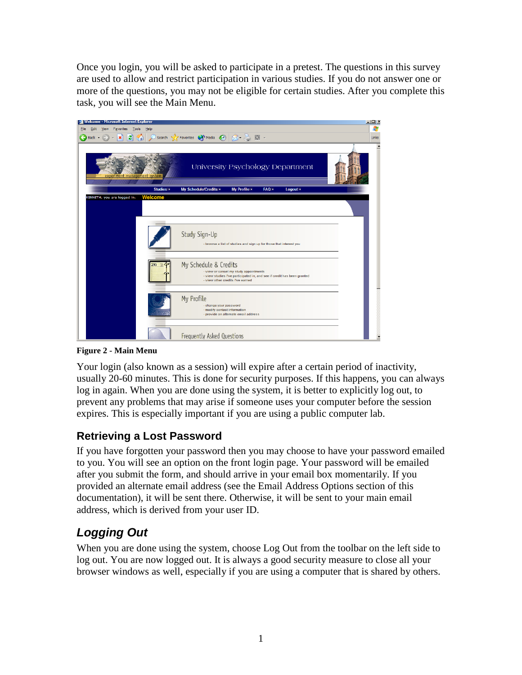Once you login, you will be asked to participate in a pretest. The questions in this survey are used to allow and restrict participation in various studies. If you do not answer one or more of the questions, you may not be eligible for certain studies. After you complete this task, you will see the Main Menu.



**Figure 2 - Main Menu**

Your login (also known as a session) will expire after a certain period of inactivity, usually 20-60 minutes. This is done for security purposes. If this happens, you can always log in again. When you are done using the system, it is better to explicitly log out, to prevent any problems that may arise if someone uses your computer before the session expires. This is especially important if you are using a public computer lab.

#### **Retrieving a Lost Password**

If you have forgotten your password then you may choose to have your password emailed to you. You will see an option on the front login page. Your password will be emailed after you submit the form, and should arrive in your email box momentarily. If you provided an alternate email address (see the Email Address Options section of this documentation), it will be sent there. Otherwise, it will be sent to your main email address, which is derived from your user ID.

### *Logging Out*

When you are done using the system, choose Log Out from the toolbar on the left side to log out. You are now logged out. It is always a good security measure to close all your browser windows as well, especially if you are using a computer that is shared by others.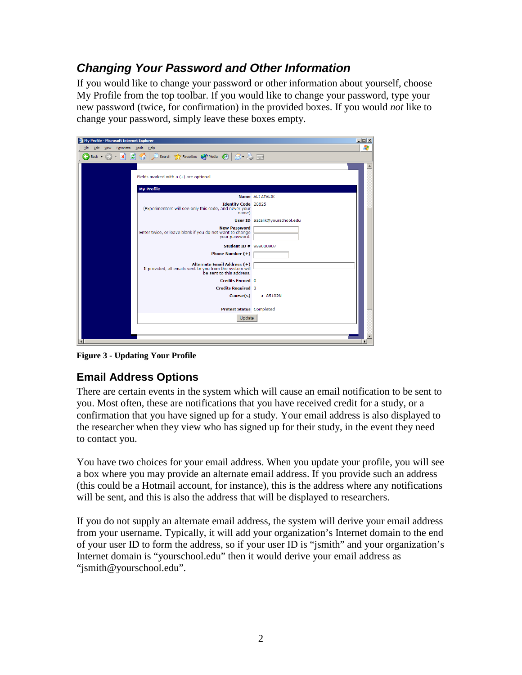### *Changing Your Password and Other Information*

If you would like to change your password or other information about yourself, choose My Profile from the top toolbar. If you would like to change your password, type your new password (twice, for confirmation) in the provided boxes. If you would *not* like to change your password, simply leave these boxes empty.

| My Profile - Microsoft Internet Explorer |                                                                                                                     | $\Box$ D $\times$              |
|------------------------------------------|---------------------------------------------------------------------------------------------------------------------|--------------------------------|
| Edit View Favorites Tools Help<br>File   |                                                                                                                     |                                |
| ←<br>Back -                              | - X C C Search & Favorites @ Media @ 2 & B                                                                          |                                |
|                                          |                                                                                                                     |                                |
|                                          | Fields marked with $a (+)$ are optional.                                                                            |                                |
|                                          | <b>My Profile</b>                                                                                                   |                                |
|                                          |                                                                                                                     | Name ALI ATALIK                |
|                                          | <b>Identity Code 28825</b>                                                                                          |                                |
|                                          | (Experimenters will see only this code, and never your<br>name)                                                     |                                |
|                                          |                                                                                                                     | User ID aatalik@yourschool.edu |
|                                          | <b>New Password</b><br>Enter twice, or leave blank if you do not want to change<br>your password.                   |                                |
|                                          | <b>Student ID # 999000907</b>                                                                                       |                                |
|                                          | Phone Number (+)                                                                                                    |                                |
|                                          | Alternate Email Address (+)<br>If provided, all emails sent to you from the system will<br>be sent to this address. |                                |
|                                          | <b>Credits Earned</b> 0                                                                                             |                                |
|                                          | <b>Credits Required 3</b>                                                                                           |                                |
|                                          | Course(s)                                                                                                           | $-85102N$                      |
|                                          | Pretest Status Completed                                                                                            |                                |
|                                          | Update                                                                                                              |                                |
|                                          |                                                                                                                     |                                |
|                                          |                                                                                                                     |                                |

**Figure 3 - Updating Your Profile**

#### **Email Address Options**

There are certain events in the system which will cause an email notification to be sent to you. Most often, these are notifications that you have received credit for a study, or a confirmation that you have signed up for a study. Your email address is also displayed to the researcher when they view who has signed up for their study, in the event they need to contact you.

You have two choices for your email address. When you update your profile, you will see a box where you may provide an alternate email address. If you provide such an address (this could be a Hotmail account, for instance), this is the address where any notifications will be sent, and this is also the address that will be displayed to researchers.

If you do not supply an alternate email address, the system will derive your email address from your username. Typically, it will add your organization's Internet domain to the end of your user ID to form the address, so if your user ID is "jsmith" and your organization's Internet domain is "yourschool.edu" then it would derive your email address as "jsmith@yourschool.edu".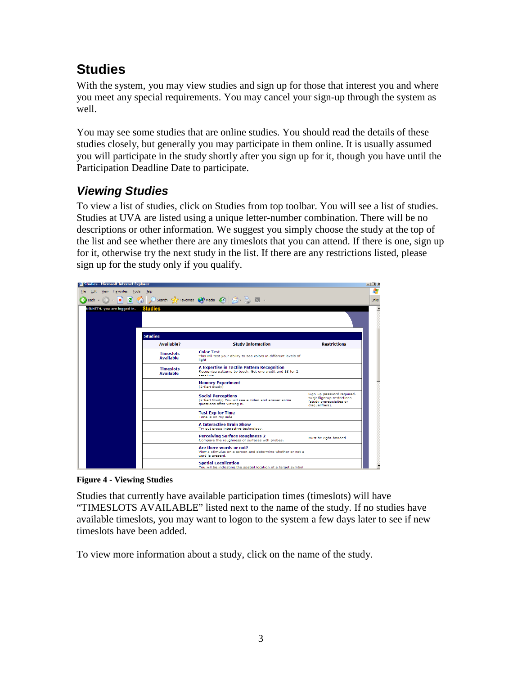# **Studies**

With the system, you may view studies and sign up for those that interest you and where you meet any special requirements. You may cancel your sign-up through the system as well.

You may see some studies that are online studies. You should read the details of these studies closely, but generally you may participate in them online. It is usually assumed you will participate in the study shortly after you sign up for it, though you have until the Participation Deadline Date to participate.

### *Viewing Studies*

To view a list of studies, click on Studies from top toolbar. You will see a list of studies. Studies at UVA are listed using a unique letter-number combination. There will be no descriptions or other information. We suggest you simply choose the study at the top of the list and see whether there are any timeslots that you can attend. If there is one, sign up for it, otherwise try the next study in the list. If there are any restrictions listed, please sign up for the study only if you qualify.

|      | Studies - Microsoft Internet Explorer |                                      |                                                                                                                       |                                                                                                        | $ \Box$ $\times$ |
|------|---------------------------------------|--------------------------------------|-----------------------------------------------------------------------------------------------------------------------|--------------------------------------------------------------------------------------------------------|------------------|
| Eile | Edit View Favorites Tools Help        |                                      |                                                                                                                       |                                                                                                        | Æ                |
|      |                                       |                                      |                                                                                                                       |                                                                                                        | Links            |
|      | KENNETH, you are logged in.           | <b>Studies</b>                       |                                                                                                                       |                                                                                                        |                  |
|      |                                       | <b>Studies</b>                       |                                                                                                                       |                                                                                                        |                  |
|      |                                       | <b>Available?</b>                    | <b>Study Information</b>                                                                                              | <b>Restrictions</b>                                                                                    |                  |
|      |                                       | <b>Timeslots</b><br><b>Available</b> | <b>Color Test</b><br>This will test your ability to see colors in different levels of<br>light                        |                                                                                                        |                  |
|      |                                       | <b>Timeslots</b><br><b>Available</b> | A Expertise in Tactile Pattern Recognition<br>Recognize patterns by touch. Get one credit and \$\$ for 2<br>sessions. |                                                                                                        |                  |
|      |                                       |                                      | <b>Memory Experiment</b><br>(2-Part Study)                                                                            |                                                                                                        |                  |
|      |                                       |                                      | <b>Social Perceptions</b><br>(2-Part Study) You will see a video and answer some<br>questions after viewing it.       | Sign-up password required.<br>subjr Sign-up restrictions<br>(study prerequisites or<br>disqualifiers). |                  |
|      |                                       |                                      | <b>Test Exp for Time</b><br>Time is on my side                                                                        |                                                                                                        |                  |
|      |                                       |                                      | <b>A Interactive Brain Show</b><br>Try out group interactive technology.                                              |                                                                                                        |                  |
|      |                                       |                                      | <b>Perceiving Surface Roughness 2</b><br>Compare the roughness of surfaces with probes.                               | Must be right-handed                                                                                   |                  |
|      |                                       |                                      | Are there words or not?<br>View a stimulus on a screen and determine whether or not a<br>word is present.             |                                                                                                        |                  |
|      |                                       |                                      | <b>Spatial Localization</b><br>You will be indicating the spatial location of a target symbol                         |                                                                                                        |                  |

**Figure 4 - Viewing Studies**

Studies that currently have available participation times (timeslots) will have "TIMESLOTS AVAILABLE" listed next to the name of the study. If no studies have available timeslots, you may want to logon to the system a few days later to see if new timeslots have been added.

To view more information about a study, click on the name of the study.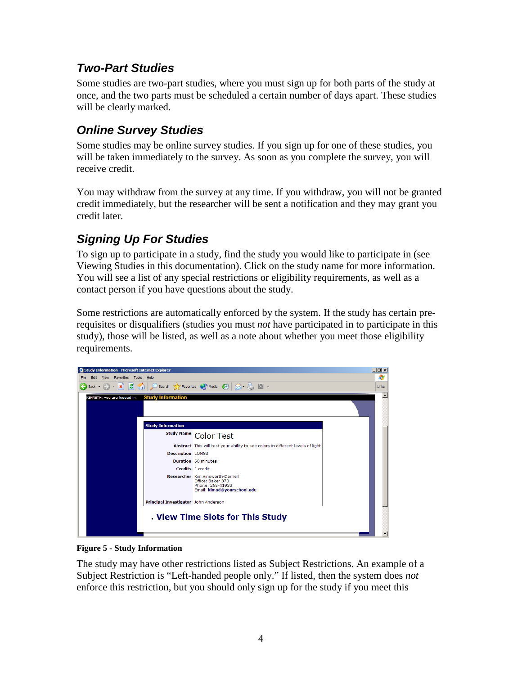#### *Two-Part Studies*

Some studies are two-part studies, where you must sign up for both parts of the study at once, and the two parts must be scheduled a certain number of days apart. These studies will be clearly marked.

### *Online Survey Studies*

Some studies may be online survey studies. If you sign up for one of these studies, you will be taken immediately to the survey. As soon as you complete the survey, you will receive credit.

You may withdraw from the survey at any time. If you withdraw, you will not be granted credit immediately, but the researcher will be sent a notification and they may grant you credit later.

### *Signing Up For Studies*

To sign up to participate in a study, find the study you would like to participate in (see Viewing Studies in this documentation). Click on the study name for more information. You will see a list of any special restrictions or eligibility requirements, as well as a contact person if you have questions about the study.

Some restrictions are automatically enforced by the system. If the study has certain prerequisites or disqualifiers (studies you must *not* have participated in to participate in this study), those will be listed, as well as a note about whether you meet those eligibility requirements.



**Figure 5 - Study Information**

The study may have other restrictions listed as Subject Restrictions. An example of a Subject Restriction is "Left-handed people only." If listed, then the system does *not* enforce this restriction, but you should only sign up for the study if you meet this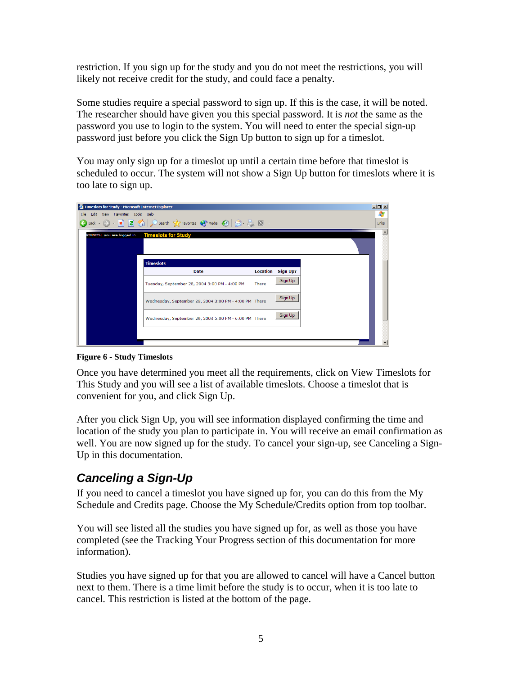restriction. If you sign up for the study and you do not meet the restrictions, you will likely not receive credit for the study, and could face a penalty.

Some studies require a special password to sign up. If this is the case, it will be noted. The researcher should have given you this special password. It is *not* the same as the password you use to login to the system. You will need to enter the special sign-up password just before you click the Sign Up button to sign up for a timeslot.

You may only sign up for a timeslot up until a certain time before that timeslot is scheduled to occur. The system will not show a Sign Up button for timeslots where it is too late to sign up.

| Timeslots for Study - Microsoft Internet Explorer |                                                                                                                                                                                                              |                 |                 |  | $\Box$ D $\bm{\times}$ |
|---------------------------------------------------|--------------------------------------------------------------------------------------------------------------------------------------------------------------------------------------------------------------|-----------------|-----------------|--|------------------------|
| Edit View Favorites Tools Help<br>Eile            |                                                                                                                                                                                                              |                 |                 |  |                        |
|                                                   | $\bigodot$ Back $\cdot$ $\bigodot$ $\cdot$ $\mathbf{x}$ $\bigodot$ $\bigodot$ $\bigodot$ Search $\bigodot$ Favorites $\bigodot$ Media $\bigodot$ $\bigodot$ $\bigodot$ $\cdot$ $\bigodot$ $\bigodot$ $\cdot$ |                 |                 |  | Links                  |
| KENNETH, you are logged in.                       | <b>Timeslots for Study</b>                                                                                                                                                                                   |                 |                 |  |                        |
|                                                   |                                                                                                                                                                                                              |                 |                 |  |                        |
|                                                   | <b>Timeslots</b>                                                                                                                                                                                             |                 |                 |  |                        |
|                                                   | <b>Date</b>                                                                                                                                                                                                  | <b>Location</b> | <b>Sign Up?</b> |  |                        |
|                                                   | Tuesday, September 28, 2004 3:00 PM - 4:00 PM                                                                                                                                                                | <b>There</b>    | Sign Up         |  |                        |
|                                                   | Wednesday, September 29, 2004 3:00 PM - 4:00 PM There                                                                                                                                                        |                 | Sign Up         |  |                        |
|                                                   | Wednesday, September 29, 2004 5:00 PM - 6:00 PM There                                                                                                                                                        |                 | Sign Up         |  |                        |
|                                                   |                                                                                                                                                                                                              |                 |                 |  |                        |
|                                                   |                                                                                                                                                                                                              |                 |                 |  |                        |

**Figure 6 - Study Timeslots**

Once you have determined you meet all the requirements, click on View Timeslots for This Study and you will see a list of available timeslots. Choose a timeslot that is convenient for you, and click Sign Up.

After you click Sign Up, you will see information displayed confirming the time and location of the study you plan to participate in. You will receive an email confirmation as well. You are now signed up for the study. To cancel your sign-up, see Canceling a Sign-Up in this documentation.

### *Canceling a Sign-Up*

If you need to cancel a timeslot you have signed up for, you can do this from the My Schedule and Credits page. Choose the My Schedule/Credits option from top toolbar.

You will see listed all the studies you have signed up for, as well as those you have completed (see the Tracking Your Progress section of this documentation for more information).

Studies you have signed up for that you are allowed to cancel will have a Cancel button next to them. There is a time limit before the study is to occur, when it is too late to cancel. This restriction is listed at the bottom of the page.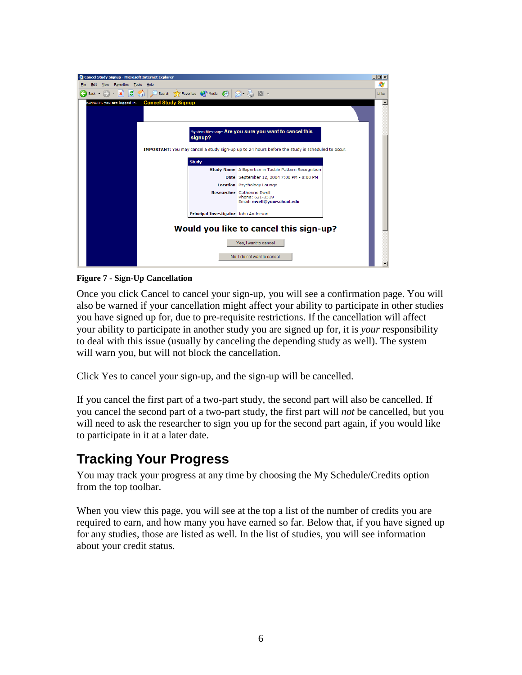

**Figure 7 - Sign-Up Cancellation**

Once you click Cancel to cancel your sign-up, you will see a confirmation page. You will also be warned if your cancellation might affect your ability to participate in other studies you have signed up for, due to pre-requisite restrictions. If the cancellation will affect your ability to participate in another study you are signed up for, it is *your* responsibility to deal with this issue (usually by canceling the depending study as well). The system will warn you, but will not block the cancellation.

Click Yes to cancel your sign-up, and the sign-up will be cancelled.

If you cancel the first part of a two-part study, the second part will also be cancelled. If you cancel the second part of a two-part study, the first part will *not* be cancelled, but you will need to ask the researcher to sign you up for the second part again, if you would like to participate in it at a later date.

# **Tracking Your Progress**

You may track your progress at any time by choosing the My Schedule/Credits option from the top toolbar.

When you view this page, you will see at the top a list of the number of credits you are required to earn, and how many you have earned so far. Below that, if you have signed up for any studies, those are listed as well. In the list of studies, you will see information about your credit status.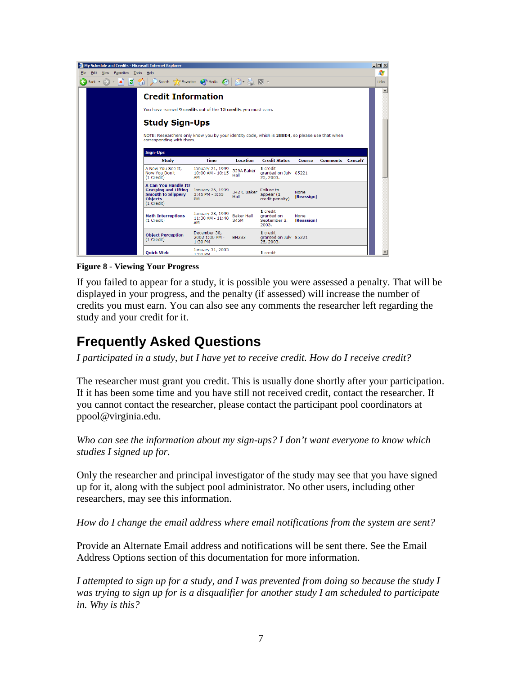|                                                                                                                |                           |  | My Schedule and Credits - Microsoft Internet Explorer                                                                      |                                                     |                           |                                                 |                    |                         |   | $\Box$ d $\times$ |
|----------------------------------------------------------------------------------------------------------------|---------------------------|--|----------------------------------------------------------------------------------------------------------------------------|-----------------------------------------------------|---------------------------|-------------------------------------------------|--------------------|-------------------------|---|-------------------|
| Edit View Favorites Tools<br>File<br>Help                                                                      |                           |  |                                                                                                                            |                                                     |                           | Æ                                               |                    |                         |   |                   |
| Search Y Favorites (A) Media (A) R = B E +<br>$\mathbf{z}$ and<br>Back $\bullet$ $\bullet$ $\bullet$ $\bullet$ |                           |  |                                                                                                                            |                                                     |                           |                                                 | Links              |                         |   |                   |
|                                                                                                                | <b>Credit Information</b> |  |                                                                                                                            |                                                     |                           |                                                 |                    |                         | ≛ |                   |
|                                                                                                                |                           |  | You have earned 9 credits out of the 15 credits you must earn.                                                             |                                                     |                           |                                                 |                    |                         |   |                   |
|                                                                                                                |                           |  | <b>Study Sign-Ups</b>                                                                                                      |                                                     |                           |                                                 |                    |                         |   |                   |
|                                                                                                                |                           |  |                                                                                                                            |                                                     |                           |                                                 |                    |                         |   |                   |
|                                                                                                                |                           |  | NOTE: Researchers only know you by your identity code, which is 28804, so please use that when<br>corresponding with them. |                                                     |                           |                                                 |                    |                         |   |                   |
|                                                                                                                |                           |  |                                                                                                                            |                                                     |                           |                                                 |                    |                         |   |                   |
|                                                                                                                |                           |  | <b>Sign-Ups</b>                                                                                                            |                                                     |                           |                                                 |                    |                         |   |                   |
|                                                                                                                |                           |  | <b>Study</b>                                                                                                               | <b>Time</b>                                         | <b>Location</b>           | <b>Credit Status</b>                            | <b>Course</b>      | <b>Comments Cancel?</b> |   |                   |
|                                                                                                                |                           |  | A Now You See It.<br>Now You Don't<br>(1 Credit)                                                                           | January 21, 1999<br>10:00 AM - 10:15<br>ΔΜ          | 329A Baker<br>Hall        | 1 credit<br>granted on July 85221<br>25, 2003.  |                    |                         |   |                   |
|                                                                                                                |                           |  | <b>A Can You Handle It?</b><br><b>Grasping and Lifting</b><br><b>Smooth to Slipperv</b><br><b>Objects</b><br>(1 Credit)    | January 26, 1999<br>$3:45$ PM - $3:55$<br><b>PM</b> | 342 C Baker<br>Hall       | Failure to<br>appear $(1)$<br>credit penalty).  | None<br>[Reassign] |                         |   |                   |
|                                                                                                                |                           |  | <b>Math Interruptions</b><br>(1 Credit)                                                                                    | January 28, 1999<br>$11:30$ AM - $11:48$<br>AM      | <b>Baker Hall</b><br>345M | 1 credit<br>granted on<br>September 3.<br>2003. | None<br>[Reassign] |                         |   |                   |
|                                                                                                                |                           |  | <b>Object Perception</b><br>(1 Credit)                                                                                     | December 30,<br>2002 1:00 PM -<br>$1:30$ PM         | <b>BH233</b>              | 1 credit<br>granted on July 85221<br>25, 2003.  |                    |                         |   |                   |
|                                                                                                                |                           |  | <b>Ouick Web</b>                                                                                                           | January 31, 2003<br>$1:00$ DM                       |                           | 1 credit                                        |                    |                         |   |                   |

**Figure 8 - Viewing Your Progress**

If you failed to appear for a study, it is possible you were assessed a penalty. That will be displayed in your progress, and the penalty (if assessed) will increase the number of credits you must earn. You can also see any comments the researcher left regarding the study and your credit for it.

## **Frequently Asked Questions**

*I participated in a study, but I have yet to receive credit. How do I receive credit?*

The researcher must grant you credit. This is usually done shortly after your participation. If it has been some time and you have still not received credit, contact the researcher. If you cannot contact the researcher, please contact the participant pool coordinators at ppool@virginia.edu.

*Who can see the information about my sign-ups? I don't want everyone to know which studies I signed up for.*

Only the researcher and principal investigator of the study may see that you have signed up for it, along with the subject pool administrator. No other users, including other researchers, may see this information.

*How do I change the email address where email notifications from the system are sent?*

Provide an Alternate Email address and notifications will be sent there. See the Email Address Options section of this documentation for more information.

*I attempted to sign up for a study, and I was prevented from doing so because the study I was trying to sign up for is a disqualifier for another study I am scheduled to participate in. Why is this?*